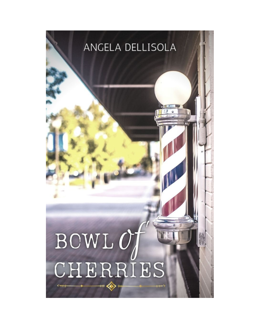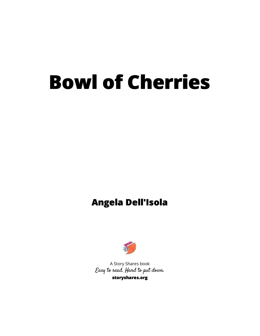# <span id="page-1-0"></span>**Bowl of Cherries**

#### **Angela Dell'Isola**



A Story Shares book Easy to read. Hard to put down.

**[storyshares.org](https://www.storyshares.org)**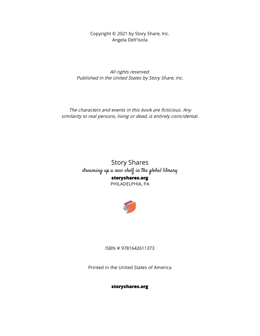<span id="page-2-0"></span>Copyright © 2021 by Story Share, Inc. Angela Dell'Isola

All rights reserved. Published in the United States by Story Share, Inc.

The characters and events in this book are ficticious. Any similarity to real persons, living or dead, is entirely coincidental.

> Story Shares dreaming up a new shelf in the global library **[storyshares.org](https://www.storyshares.org)** PHILADELPHIA, PA



ISBN # 9781642611373

Printed in the United States of America

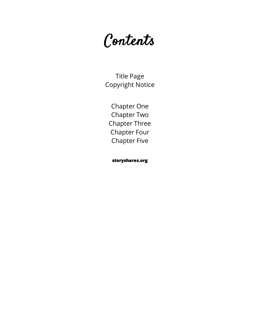## Contents

Title [Page](#page-1-0) [Copyright](#page-2-0) Notice

[Chapter](#page-4-0) One [Chapter](#page-5-0) Two [Chapter](#page-7-0) Three **Chapter Four Chapter Five** 

**[storyshares.org](https://www.storyshares.org)**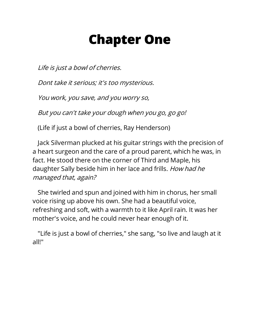#### **Chapter One**

<span id="page-4-0"></span>Life is just a bowl of cherries.

Dont take it serious; it's too mysterious.

You work, you save, and you worry so,

But you can't take your dough when you go, go go!

(Life if just a bowl of cherries, Ray Henderson)

Jack Silverman plucked at hisguitar strings with the precision of a heart surgeon and the care of a proud parent, which he was, in fact. He stood there on the corner of Third and Maple, his daughter Sally beside him in her lace and frills. How had he managed that, again?

She twirled and spun and joined with him in chorus, her small voice rising up above his own. She had a beautiful voice, refreshing and soft, with a warmth to it like April rain. It was her mother's voice, and he could never hear enough of it.

"Life is just a bowl of cherries," she sang, "so live and laugh at it all!"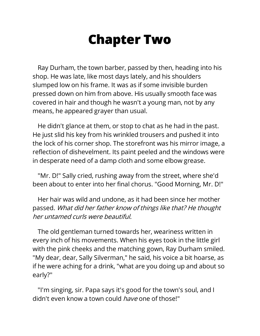#### **Chapter Two**

<span id="page-5-0"></span>Ray Durham, the town barber, passed by then, heading into his shop. He was late, like most days lately, and his shoulders slumped low on his frame. It was as if some invisible burden pressed down on him from above. His usually smooth face was covered in hair and though he wasn't a young man, not by any means, he appeared grayer than usual.

He didn't glance at them, or stop to chat as he had in the past. He just slid his key from his wrinkled trousers and pushed it into the lock of his corner shop. The storefront was his mirror image, a reflection of dishevelment. Its paint peeled and the windows were in desperate need of a damp cloth and some elbow grease.

"Mr. D!" Sally cried, rushing away from the street, where she'd been about to enter into her final chorus. "Good Morning, Mr. D!"

Her hair was wild and undone, as it had been since her mother passed. What did her father know of things like that? He thought her untamed curls were beautiful.

The old gentleman turned towards her, weariness written in every inch of his movements. When his eyes took in the little girl with the pink cheeks and the matching gown, Ray Durham smiled. "My dear, dear, Sally Silverman," he said, hisvoice a bit hoarse, as if he were aching for a drink, "what are you doing up and about so early?"

"I'm singing, sir. Papa says it'sgood for the town's soul, and I didn't even know a town could *have* one of those!"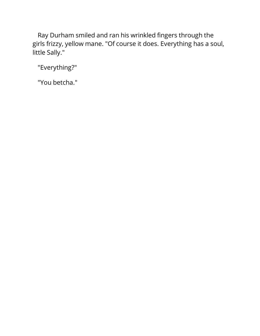Ray Durham smiled and ran his wrinkled fingers through the girls frizzy, yellow mane. "Of course it does. Everything has a soul, little Sally."

"Everything?"

"You betcha."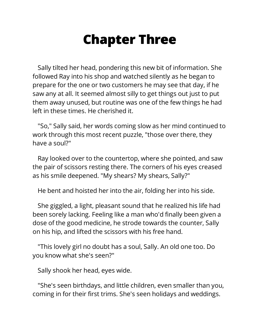### **Chapter Three**

<span id="page-7-0"></span>Sally tilted her head, pondering this new bit of information. She followed Ray into his shop and watched silently as he began to prepare for the one or two customers he may see that day, if he saw any at all. It seemed almost silly to get things out just to put them away unused, but routine was one of the few things he had left in these times. He cherished it.

"So," Sally said, her words coming slow as her mind continued to work through this most recent puzzle, "those over there, they have a soul?"

Ray looked over to the countertop, where she pointed, and saw the pair of scissors resting there. The corners of his eyes creased as his smile deepened. "My shears? My shears, Sally?"

He bent and hoisted her into the air, folding her into his side.

She giggled, a light, pleasant sound that he realized his life had been sorely lacking. Feeling like a man who'd finally been given a dose of the good medicine, he strode towards the counter, Sally on his hip, and lifted the scissors with his free hand.

"This lovely girl no doubt has a soul, Sally. An old one too. Do you know what she's seen?"

Sally shook her head, eyes wide.

"She's seen birthdays, and little children, even smaller than you, coming in for their first trims. She's seen holidays and weddings.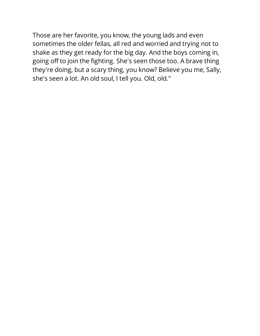Those are her favorite, you know, the young lads and even sometimes the older fellas, all red and worried and trying not to shake as they get ready for the big day. And the boys coming in, going off to join the fighting. She's seen those too. A brave thing they're doing, but a scary thing, you know? Believe you me, Sally, she's seen a lot. An old soul, I tellyou. Old, old."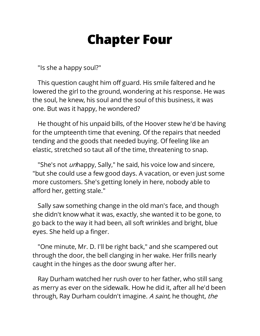#### **Chapter Four**

<span id="page-9-0"></span>"Is she a happy soul?"

This question caught him offguard. His smile faltered and he lowered the girl to the ground, wondering at his response. He was the soul, he knew, his soul and the soul of this business, it was one. But was it happy, he wondered?

He thought of his unpaid bills, of the Hoover stew he'd be having for the umpteenth time that evening. Of the repairs that needed tending and the goods that needed buying. Of feeling like an elastic, stretched so taut all of the time, threatening to snap.

"She's not *un*happy, Sally," he said, his voice low and sincere, "but she could use a few good days. A vacation, or even just some more customers. She's getting lonely in here, nobody able to afford her, getting stale."

Sally saw something change in the old man's face, and though she didn't know what it was, exactly, she wanted it to be gone, to go back to the way it had been, all soft wrinkles and bright, blue eyes. She held up a finger.

"One minute, Mr. D. I'll be right back," and she scampered out through the door, the bell clanging in her wake. Her frills nearly caught in the hinges as the door swung after her.

Ray Durham watched her rush over to her father, who still sang as merry as ever on the sidewalk. How he did it, after all he'd been through, Ray Durham couldn't imagine. A saint, he thought, the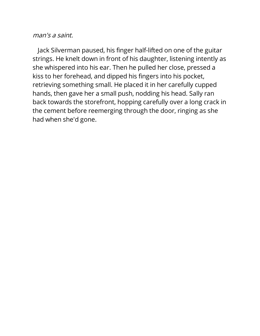#### man's a saint.

Jack Silverman paused, his finger half-lifted on one of the guitar strings. He knelt down in front of his daughter, listening intently as she whispered into his ear. Then he pulled her close, pressed a kiss to her forehead, and dipped his fingers into his pocket, retrieving something small. He placed it in her carefully cupped hands, then gave her a small push, nodding his head. Sally ran back towards the storefront, hopping carefully over a long crack in the cement before reemerging through the door, ringing as she had when she'd gone.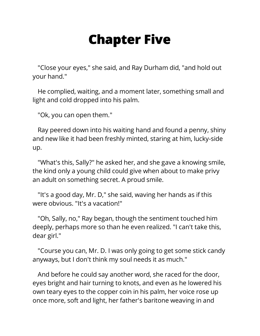#### **Chapter Five**

<span id="page-11-0"></span>"Close your eyes," she said, and Ray Durham did, "and hold out your hand."

He complied, waiting, and a moment later, something small and light and cold dropped into his palm.

"Ok, you can open them."

Ray peered down into his waiting hand and found a penny, shiny and new like it had been freshly minted, staring at him, lucky-side up.

"What's this, Sally?" he asked her, and she gave a knowing smile, the kind only a young child could give when about to make privy an adult on something secret. A proud smile.

"It's a good day, Mr. D," she said, waving her hands as if this were obvious. "It's a vacation!"

"Oh, Sally, no," Ray began, though the sentiment touched him deeply, perhaps more so than he even realized. "I can't take this, dear girl."

"Course you can, Mr. D. I was only going to get some stick candy anyways, but I don't think my soul needs it as much."

And before he could say another word, she raced for the door, eyes bright and hair turning to knots, and even as he lowered his own teary eyes to the copper coin in his palm, her voice rose up once more, soft and light, her father's baritone weaving in and